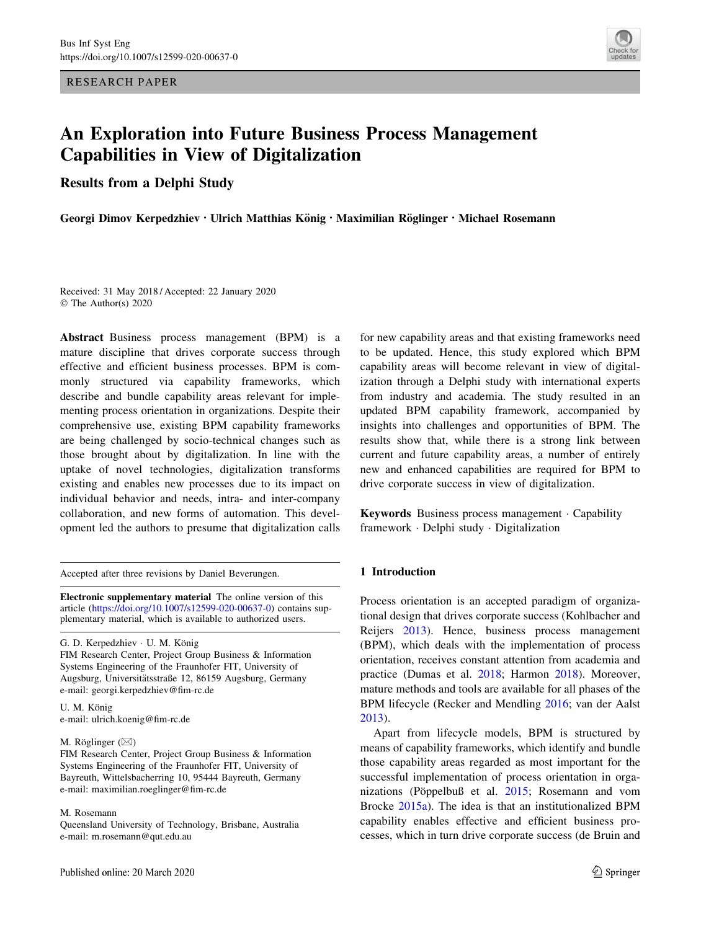<span id="page-0-0"></span>RESEARCH PAPER



# An Exploration into Future Business Process Management Capabilities in View of Digitalization

Results from a Delphi Study

Georgi Dimov Kerpedzhiev • Ulrich Matthias König • Maximilian Röglinger • Michael Rosemann

Received: 31 May 2018 / Accepted: 22 January 2020 © The Author(s) 2020

Abstract Business process management (BPM) is a mature discipline that drives corporate success through effective and efficient business processes. BPM is commonly structured via capability frameworks, which describe and bundle capability areas relevant for implementing process orientation in organizations. Despite their comprehensive use, existing BPM capability frameworks are being challenged by socio-technical changes such as those brought about by digitalization. In line with the uptake of novel technologies, digitalization transforms existing and enables new processes due to its impact on individual behavior and needs, intra- and inter-company collaboration, and new forms of automation. This development led the authors to presume that digitalization calls

Accepted after three revisions by Daniel Beverungen.

Electronic supplementary material The online version of this article [\(https://doi.org/10.1007/s12599-020-00637-0](https://doi.org/10.1007/s12599-020-00637-0)) contains supplementary material, which is available to authorized users.

G. D. Kerpedzhiev · U. M. König FIM Research Center, Project Group Business & Information Systems Engineering of the Fraunhofer FIT, University of Augsburg, Universitätsstraße 12, 86159 Augsburg, Germany e-mail: georgi.kerpedzhiev@fim-rc.de

U. M. König e-mail: ulrich.koenig@fim-rc.de

### M. Röglinger  $(\boxtimes)$

FIM Research Center, Project Group Business & Information Systems Engineering of the Fraunhofer FIT, University of Bayreuth, Wittelsbacherring 10, 95444 Bayreuth, Germany e-mail: maximilian.roeglinger@fim-rc.de

#### M. Rosemann

Queensland University of Technology, Brisbane, Australia e-mail: m.rosemann@qut.edu.au

for new capability areas and that existing frameworks need to be updated. Hence, this study explored which BPM capability areas will become relevant in view of digitalization through a Delphi study with international experts from industry and academia. The study resulted in an updated BPM capability framework, accompanied by insights into challenges and opportunities of BPM. The results show that, while there is a strong link between current and future capability areas, a number of entirely new and enhanced capabilities are required for BPM to drive corporate success in view of digitalization.

Keywords Business process management · Capability framework - Delphi study - Digitalization

# 1 Introduction

Process orientation is an accepted paradigm of organizational design that drives corporate success (Kohlbacher and Reijers [2013\)](#page-12-0). Hence, business process management (BPM), which deals with the implementation of process orientation, receives constant attention from academia and practice (Dumas et al. [2018](#page-12-0); Harmon [2018\)](#page-12-0). Moreover, mature methods and tools are available for all phases of the BPM lifecycle (Recker and Mendling [2016](#page-12-0); van der Aalst [2013](#page-13-0)).

Apart from lifecycle models, BPM is structured by means of capability frameworks, which identify and bundle those capability areas regarded as most important for the successful implementation of process orientation in orga-nizations (Pöppelbuß et al. [2015](#page-12-0); Rosemann and vom Brocke [2015a](#page-12-0)). The idea is that an institutionalized BPM capability enables effective and efficient business processes, which in turn drive corporate success (de Bruin and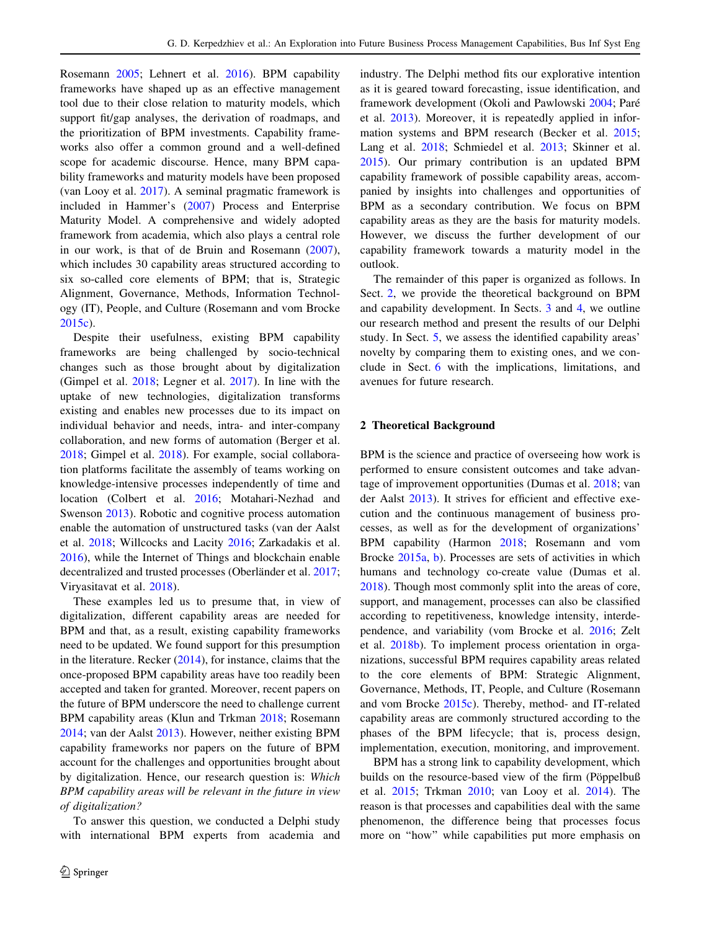<span id="page-1-0"></span>Rosemann [2005;](#page-12-0) Lehnert et al. [2016\)](#page-12-0). BPM capability frameworks have shaped up as an effective management tool due to their close relation to maturity models, which support fit/gap analyses, the derivation of roadmaps, and the prioritization of BPM investments. Capability frameworks also offer a common ground and a well-defined scope for academic discourse. Hence, many BPM capability frameworks and maturity models have been proposed (van Looy et al. [2017](#page-13-0)). A seminal pragmatic framework is included in Hammer's [\(2007](#page-12-0)) Process and Enterprise Maturity Model. A comprehensive and widely adopted framework from academia, which also plays a central role in our work, is that of de Bruin and Rosemann [\(2007](#page-12-0)), which includes 30 capability areas structured according to six so-called core elements of BPM; that is, Strategic Alignment, Governance, Methods, Information Technology (IT), People, and Culture (Rosemann and vom Brocke [2015c](#page-12-0)).

Despite their usefulness, existing BPM capability frameworks are being challenged by socio-technical changes such as those brought about by digitalization (Gimpel et al. [2018](#page-12-0); Legner et al. [2017](#page-12-0)). In line with the uptake of new technologies, digitalization transforms existing and enables new processes due to its impact on individual behavior and needs, intra- and inter-company collaboration, and new forms of automation (Berger et al. [2018;](#page-12-0) Gimpel et al. [2018\)](#page-12-0). For example, social collaboration platforms facilitate the assembly of teams working on knowledge-intensive processes independently of time and location (Colbert et al. [2016](#page-12-0); Motahari-Nezhad and Swenson [2013\)](#page-12-0). Robotic and cognitive process automation enable the automation of unstructured tasks (van der Aalst et al. [2018](#page-13-0); Willcocks and Lacity [2016;](#page-13-0) Zarkadakis et al. [2016\)](#page-13-0), while the Internet of Things and blockchain enable decentralized and trusted processes (Oberländer et al. [2017](#page-12-0); Viryasitavat et al. [2018\)](#page-13-0).

These examples led us to presume that, in view of digitalization, different capability areas are needed for BPM and that, as a result, existing capability frameworks need to be updated. We found support for this presumption in the literature. Recker  $(2014)$ , for instance, claims that the once-proposed BPM capability areas have too readily been accepted and taken for granted. Moreover, recent papers on the future of BPM underscore the need to challenge current BPM capability areas (Klun and Trkman [2018;](#page-12-0) Rosemann [2014;](#page-12-0) van der Aalst [2013\)](#page-13-0). However, neither existing BPM capability frameworks nor papers on the future of BPM account for the challenges and opportunities brought about by digitalization. Hence, our research question is: Which BPM capability areas will be relevant in the future in view of digitalization?

To answer this question, we conducted a Delphi study with international BPM experts from academia and industry. The Delphi method fits our explorative intention as it is geared toward forecasting, issue identification, and framework development (Okoli and Pawlowski [2004;](#page-12-0) Pare´ et al. [2013\)](#page-12-0). Moreover, it is repeatedly applied in information systems and BPM research (Becker et al. [2015](#page-12-0); Lang et al. [2018;](#page-12-0) Schmiedel et al. [2013](#page-12-0); Skinner et al. [2015](#page-13-0)). Our primary contribution is an updated BPM capability framework of possible capability areas, accompanied by insights into challenges and opportunities of BPM as a secondary contribution. We focus on BPM capability areas as they are the basis for maturity models. However, we discuss the further development of our capability framework towards a maturity model in the outlook.

The remainder of this paper is organized as follows. In Sect. 2, we provide the theoretical background on BPM and capability development. In Sects. [3](#page-2-0) and [4](#page-5-0), we outline our research method and present the results of our Delphi study. In Sect. [5,](#page-5-0) we assess the identified capability areas' novelty by comparing them to existing ones, and we conclude in Sect. [6](#page-8-0) with the implications, limitations, and avenues for future research.

# 2 Theoretical Background

BPM is the science and practice of overseeing how work is performed to ensure consistent outcomes and take advantage of improvement opportunities (Dumas et al. [2018](#page-12-0); van der Aalst [2013\)](#page-13-0). It strives for efficient and effective execution and the continuous management of business processes, as well as for the development of organizations' BPM capability (Harmon [2018;](#page-12-0) Rosemann and vom Brocke [2015a,](#page-12-0) [b](#page-12-0)). Processes are sets of activities in which humans and technology co-create value (Dumas et al. [2018](#page-12-0)). Though most commonly split into the areas of core, support, and management, processes can also be classified according to repetitiveness, knowledge intensity, interdependence, and variability (vom Brocke et al. [2016;](#page-13-0) Zelt et al. [2018b\)](#page-13-0). To implement process orientation in organizations, successful BPM requires capability areas related to the core elements of BPM: Strategic Alignment, Governance, Methods, IT, People, and Culture (Rosemann and vom Brocke [2015c](#page-12-0)). Thereby, method- and IT-related capability areas are commonly structured according to the phases of the BPM lifecycle; that is, process design, implementation, execution, monitoring, and improvement.

BPM has a strong link to capability development, which builds on the resource-based view of the firm (Pöppelbuß et al. [2015](#page-12-0); Trkman [2010;](#page-13-0) van Looy et al. [2014\)](#page-13-0). The reason is that processes and capabilities deal with the same phenomenon, the difference being that processes focus more on ''how'' while capabilities put more emphasis on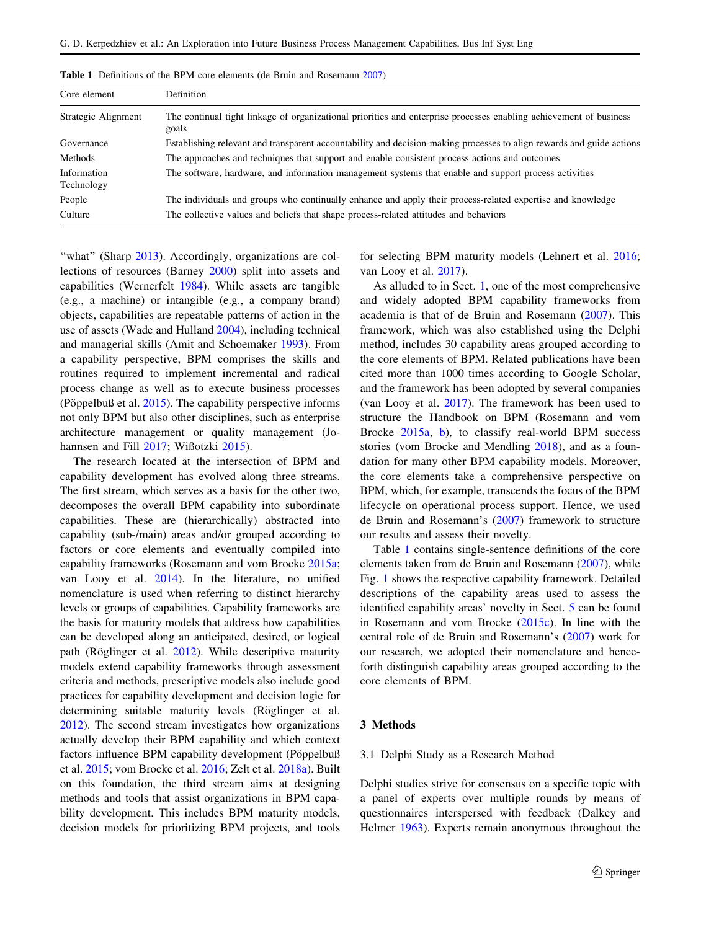| Core element              | <b>Definition</b>                                                                                                           |
|---------------------------|-----------------------------------------------------------------------------------------------------------------------------|
| Strategic Alignment       | The continual tight linkage of organizational priorities and enterprise processes enabling achievement of business<br>goals |
| Governance                | Establishing relevant and transparent accountability and decision-making processes to align rewards and guide actions       |
| Methods                   | The approaches and techniques that support and enable consistent process actions and outcomes                               |
| Information<br>Technology | The software, hardware, and information management systems that enable and support process activities                       |
| People                    | The individuals and groups who continually enhance and apply their process-related expertise and knowledge                  |
| Culture                   | The collective values and beliefs that shape process-related attitudes and behaviors                                        |

<span id="page-2-0"></span>Table 1 Definitions of the BPM core elements (de Bruin and Rosemann [2007](#page-12-0))

"what" (Sharp [2013](#page-12-0)). Accordingly, organizations are collections of resources (Barney [2000\)](#page-12-0) split into assets and capabilities (Wernerfelt [1984\)](#page-13-0). While assets are tangible (e.g., a machine) or intangible (e.g., a company brand) objects, capabilities are repeatable patterns of action in the use of assets (Wade and Hulland [2004](#page-13-0)), including technical and managerial skills (Amit and Schoemaker [1993](#page-12-0)). From a capability perspective, BPM comprises the skills and routines required to implement incremental and radical process change as well as to execute business processes (Pöppelbuß et al.  $2015$ ). The capability perspective informs not only BPM but also other disciplines, such as enterprise architecture management or quality management (Johannsen and Fill [2017](#page-12-0); Wißotzki [2015\)](#page-13-0).

The research located at the intersection of BPM and capability development has evolved along three streams. The first stream, which serves as a basis for the other two, decomposes the overall BPM capability into subordinate capabilities. These are (hierarchically) abstracted into capability (sub-/main) areas and/or grouped according to factors or core elements and eventually compiled into capability frameworks (Rosemann and vom Brocke [2015a](#page-12-0); van Looy et al. [2014](#page-13-0)). In the literature, no unified nomenclature is used when referring to distinct hierarchy levels or groups of capabilities. Capability frameworks are the basis for maturity models that address how capabilities can be developed along an anticipated, desired, or logical path (Röglinger et al. [2012](#page-12-0)). While descriptive maturity models extend capability frameworks through assessment criteria and methods, prescriptive models also include good practices for capability development and decision logic for determining suitable maturity levels (Röglinger et al. [2012\)](#page-12-0). The second stream investigates how organizations actually develop their BPM capability and which context factors influence BPM capability development (Pöppelbuß et al. [2015;](#page-12-0) vom Brocke et al. [2016;](#page-13-0) Zelt et al. [2018a\)](#page-13-0). Built on this foundation, the third stream aims at designing methods and tools that assist organizations in BPM capability development. This includes BPM maturity models, decision models for prioritizing BPM projects, and tools

for selecting BPM maturity models (Lehnert et al. [2016](#page-12-0); van Looy et al. [2017\)](#page-13-0).

As alluded to in Sect. [1,](#page-0-0) one of the most comprehensive and widely adopted BPM capability frameworks from academia is that of de Bruin and Rosemann ([2007\)](#page-12-0). This framework, which was also established using the Delphi method, includes 30 capability areas grouped according to the core elements of BPM. Related publications have been cited more than 1000 times according to Google Scholar, and the framework has been adopted by several companies (van Looy et al. [2017](#page-13-0)). The framework has been used to structure the Handbook on BPM (Rosemann and vom Brocke [2015a](#page-12-0), [b\)](#page-12-0), to classify real-world BPM success stories (vom Brocke and Mendling [2018](#page-13-0)), and as a foundation for many other BPM capability models. Moreover, the core elements take a comprehensive perspective on BPM, which, for example, transcends the focus of the BPM lifecycle on operational process support. Hence, we used de Bruin and Rosemann's ([2007\)](#page-12-0) framework to structure our results and assess their novelty.

Table 1 contains single-sentence definitions of the core elements taken from de Bruin and Rosemann ([2007\)](#page-12-0), while Fig. [1](#page-3-0) shows the respective capability framework. Detailed descriptions of the capability areas used to assess the identified capability areas' novelty in Sect. [5](#page-5-0) can be found in Rosemann and vom Brocke ([2015c](#page-12-0)). In line with the central role of de Bruin and Rosemann's ([2007\)](#page-12-0) work for our research, we adopted their nomenclature and henceforth distinguish capability areas grouped according to the core elements of BPM.

# 3 Methods

#### 3.1 Delphi Study as a Research Method

Delphi studies strive for consensus on a specific topic with a panel of experts over multiple rounds by means of questionnaires interspersed with feedback (Dalkey and Helmer [1963\)](#page-12-0). Experts remain anonymous throughout the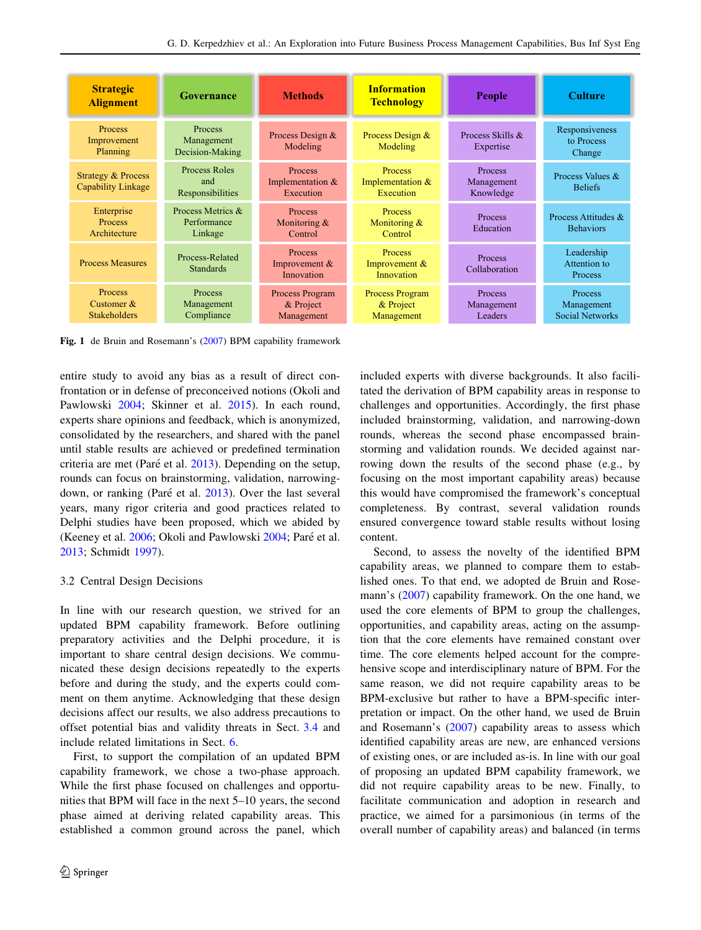<span id="page-3-0"></span>

| <b>Strategic</b><br><b>Alignment</b>                       | Governance                                  | <b>Methods</b>                                    | <b>Information</b><br><b>Technology</b>           | <b>People</b>                             | <b>Culture</b>                                  |
|------------------------------------------------------------|---------------------------------------------|---------------------------------------------------|---------------------------------------------------|-------------------------------------------|-------------------------------------------------|
| Process<br>Improvement<br>Planning                         | Process<br>Management<br>Decision-Making    | Process Design &<br>Modeling                      | Process Design &<br>Modeling                      | Process Skills &<br>Expertise             | Responsiveness<br>to Process<br>Change          |
| <b>Strategy &amp; Process</b><br><b>Capability Linkage</b> | Process Roles<br>and<br>Responsibilities    | <b>Process</b><br>Implementation $&$<br>Execution | <b>Process</b><br>Implementation &<br>Execution   | <b>Process</b><br>Management<br>Knowledge | Process Values &<br><b>Beliefs</b>              |
| Enterprise<br><b>Process</b><br>Architecture               | Process Metrics &<br>Performance<br>Linkage | <b>Process</b><br>Monitoring $\&$<br>Control      | Process<br>Monitoring $\&$<br>Control             | <b>Process</b><br>Education               | Process Attitudes &<br><b>Behaviors</b>         |
| <b>Process Measures</b>                                    | Process-Related<br><b>Standards</b>         | Process<br>Improvement $&$<br>Innovation          | <b>Process</b><br>Improvement &<br>Innovation     | <b>Process</b><br>Collaboration           | Leadership<br>Attention to<br><b>Process</b>    |
| <b>Process</b><br>Customer $\&$<br><b>Stakeholders</b>     | <b>Process</b><br>Management<br>Compliance  | Process Program<br>& Project<br>Management        | <b>Process Program</b><br>& Project<br>Management | <b>Process</b><br>Management<br>Leaders   | <b>Process</b><br>Management<br>Social Networks |

Fig. 1 de Bruin and Rosemann's ([2007\)](#page-12-0) BPM capability framework

entire study to avoid any bias as a result of direct confrontation or in defense of preconceived notions (Okoli and Pawlowski [2004](#page-12-0); Skinner et al. [2015\)](#page-13-0). In each round, experts share opinions and feedback, which is anonymized, consolidated by the researchers, and shared with the panel until stable results are achieved or predefined termination criteria are met (Paré et al.  $2013$ ). Depending on the setup, rounds can focus on brainstorming, validation, narrowing-down, or ranking (Paré et al. [2013](#page-12-0)). Over the last several years, many rigor criteria and good practices related to Delphi studies have been proposed, which we abided by (Keeney et al. [2006;](#page-12-0) Okoli and Pawlowski [2004;](#page-12-0) Paré et al. [2013;](#page-12-0) Schmidt [1997\)](#page-12-0).

# 3.2 Central Design Decisions

In line with our research question, we strived for an updated BPM capability framework. Before outlining preparatory activities and the Delphi procedure, it is important to share central design decisions. We communicated these design decisions repeatedly to the experts before and during the study, and the experts could comment on them anytime. Acknowledging that these design decisions affect our results, we also address precautions to offset potential bias and validity threats in Sect. [3.4](#page-4-0) and include related limitations in Sect. [6.](#page-8-0)

First, to support the compilation of an updated BPM capability framework, we chose a two-phase approach. While the first phase focused on challenges and opportunities that BPM will face in the next 5–10 years, the second phase aimed at deriving related capability areas. This established a common ground across the panel, which included experts with diverse backgrounds. It also facilitated the derivation of BPM capability areas in response to challenges and opportunities. Accordingly, the first phase included brainstorming, validation, and narrowing-down rounds, whereas the second phase encompassed brainstorming and validation rounds. We decided against narrowing down the results of the second phase (e.g., by focusing on the most important capability areas) because this would have compromised the framework's conceptual completeness. By contrast, several validation rounds ensured convergence toward stable results without losing content.

Second, to assess the novelty of the identified BPM capability areas, we planned to compare them to established ones. To that end, we adopted de Bruin and Rosemann's ([2007\)](#page-12-0) capability framework. On the one hand, we used the core elements of BPM to group the challenges, opportunities, and capability areas, acting on the assumption that the core elements have remained constant over time. The core elements helped account for the comprehensive scope and interdisciplinary nature of BPM. For the same reason, we did not require capability areas to be BPM-exclusive but rather to have a BPM-specific interpretation or impact. On the other hand, we used de Bruin and Rosemann's [\(2007](#page-12-0)) capability areas to assess which identified capability areas are new, are enhanced versions of existing ones, or are included as-is. In line with our goal of proposing an updated BPM capability framework, we did not require capability areas to be new. Finally, to facilitate communication and adoption in research and practice, we aimed for a parsimonious (in terms of the overall number of capability areas) and balanced (in terms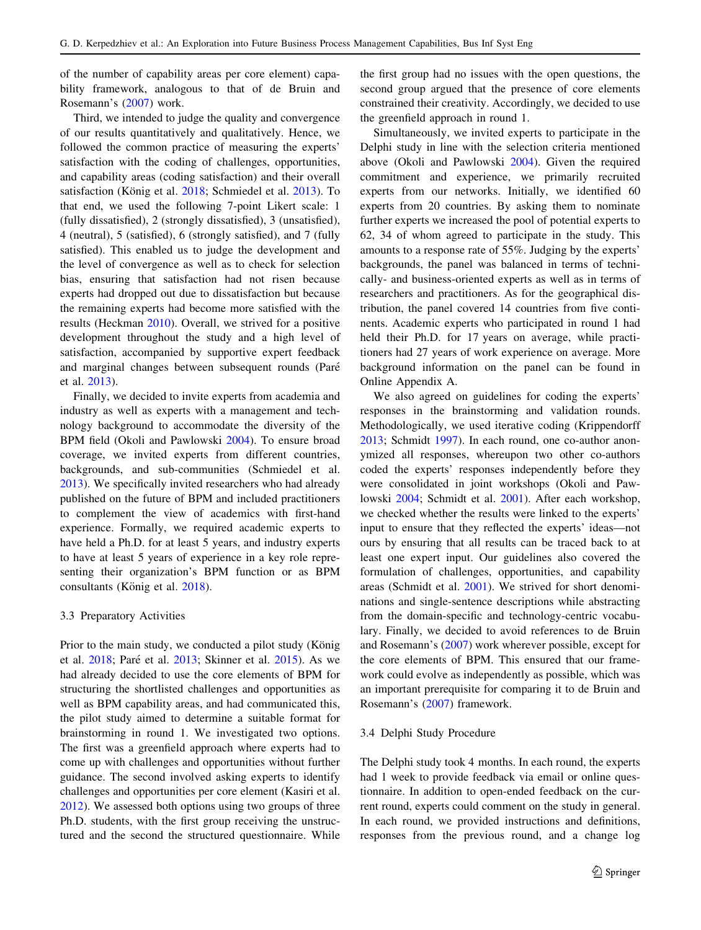<span id="page-4-0"></span>of the number of capability areas per core element) capability framework, analogous to that of de Bruin and Rosemann's [\(2007](#page-12-0)) work.

Third, we intended to judge the quality and convergence of our results quantitatively and qualitatively. Hence, we followed the common practice of measuring the experts' satisfaction with the coding of challenges, opportunities, and capability areas (coding satisfaction) and their overall satisfaction (König et al. [2018](#page-12-0); Schmiedel et al. [2013](#page-12-0)). To that end, we used the following 7-point Likert scale: 1 (fully dissatisfied), 2 (strongly dissatisfied), 3 (unsatisfied), 4 (neutral), 5 (satisfied), 6 (strongly satisfied), and 7 (fully satisfied). This enabled us to judge the development and the level of convergence as well as to check for selection bias, ensuring that satisfaction had not risen because experts had dropped out due to dissatisfaction but because the remaining experts had become more satisfied with the results (Heckman [2010](#page-12-0)). Overall, we strived for a positive development throughout the study and a high level of satisfaction, accompanied by supportive expert feedback and marginal changes between subsequent rounds (Pare´ et al. [2013\)](#page-12-0).

Finally, we decided to invite experts from academia and industry as well as experts with a management and technology background to accommodate the diversity of the BPM field (Okoli and Pawlowski [2004](#page-12-0)). To ensure broad coverage, we invited experts from different countries, backgrounds, and sub-communities (Schmiedel et al. [2013\)](#page-12-0). We specifically invited researchers who had already published on the future of BPM and included practitioners to complement the view of academics with first-hand experience. Formally, we required academic experts to have held a Ph.D. for at least 5 years, and industry experts to have at least 5 years of experience in a key role representing their organization's BPM function or as BPM consultants (König et al. [2018\)](#page-12-0).

#### 3.3 Preparatory Activities

Prior to the main study, we conducted a pilot study (König et al. [2018](#page-12-0); Paré et al. [2013;](#page-12-0) Skinner et al. [2015](#page-13-0)). As we had already decided to use the core elements of BPM for structuring the shortlisted challenges and opportunities as well as BPM capability areas, and had communicated this, the pilot study aimed to determine a suitable format for brainstorming in round 1. We investigated two options. The first was a greenfield approach where experts had to come up with challenges and opportunities without further guidance. The second involved asking experts to identify challenges and opportunities per core element (Kasiri et al. [2012\)](#page-12-0). We assessed both options using two groups of three Ph.D. students, with the first group receiving the unstructured and the second the structured questionnaire. While the first group had no issues with the open questions, the second group argued that the presence of core elements constrained their creativity. Accordingly, we decided to use the greenfield approach in round 1.

Simultaneously, we invited experts to participate in the Delphi study in line with the selection criteria mentioned above (Okoli and Pawlowski [2004\)](#page-12-0). Given the required commitment and experience, we primarily recruited experts from our networks. Initially, we identified 60 experts from 20 countries. By asking them to nominate further experts we increased the pool of potential experts to 62, 34 of whom agreed to participate in the study. This amounts to a response rate of 55%. Judging by the experts' backgrounds, the panel was balanced in terms of technically- and business-oriented experts as well as in terms of researchers and practitioners. As for the geographical distribution, the panel covered 14 countries from five continents. Academic experts who participated in round 1 had held their Ph.D. for 17 years on average, while practitioners had 27 years of work experience on average. More background information on the panel can be found in Online Appendix A.

We also agreed on guidelines for coding the experts' responses in the brainstorming and validation rounds. Methodologically, we used iterative coding (Krippendorff [2013](#page-12-0); Schmidt [1997](#page-12-0)). In each round, one co-author anonymized all responses, whereupon two other co-authors coded the experts' responses independently before they were consolidated in joint workshops (Okoli and Pawlowski [2004;](#page-12-0) Schmidt et al. [2001](#page-12-0)). After each workshop, we checked whether the results were linked to the experts' input to ensure that they reflected the experts' ideas—not ours by ensuring that all results can be traced back to at least one expert input. Our guidelines also covered the formulation of challenges, opportunities, and capability areas (Schmidt et al. [2001\)](#page-12-0). We strived for short denominations and single-sentence descriptions while abstracting from the domain-specific and technology-centric vocabulary. Finally, we decided to avoid references to de Bruin and Rosemann's [\(2007](#page-12-0)) work wherever possible, except for the core elements of BPM. This ensured that our framework could evolve as independently as possible, which was an important prerequisite for comparing it to de Bruin and Rosemann's [\(2007](#page-12-0)) framework.

## 3.4 Delphi Study Procedure

The Delphi study took 4 months. In each round, the experts had 1 week to provide feedback via email or online questionnaire. In addition to open-ended feedback on the current round, experts could comment on the study in general. In each round, we provided instructions and definitions, responses from the previous round, and a change log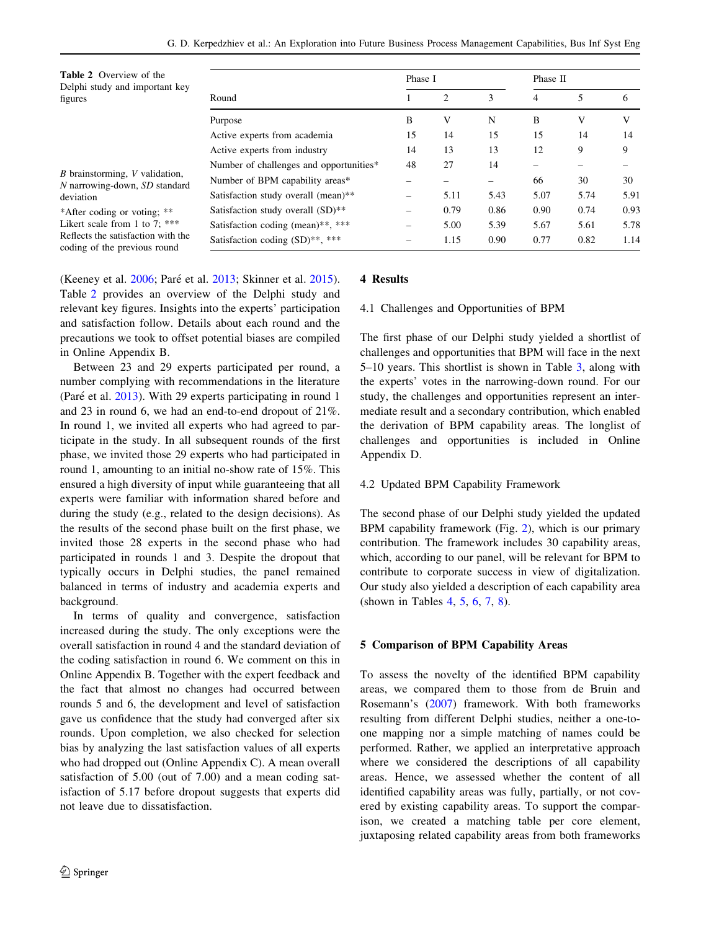<span id="page-5-0"></span>

| <b>Table 2</b> Overview of the<br>Delphi study and important key   |                                         | Phase I |      |      | Phase II |      |      |  |
|--------------------------------------------------------------------|-----------------------------------------|---------|------|------|----------|------|------|--|
| figures                                                            | Round                                   |         | 2    | 3    | 4        | 5    | 6    |  |
|                                                                    | Purpose                                 | B       | V    | N    | B        | V    | V    |  |
|                                                                    | Active experts from academia            | 15      | 14   | 15   | 15       | 14   | 14   |  |
|                                                                    | Active experts from industry            | 14      | 13   | 13   | 12       | 9    | 9    |  |
| <i>B</i> brainstorming, <i>V</i> validation,                       | Number of challenges and opportunities* | 48      | 27   | 14   |          |      |      |  |
|                                                                    | Number of BPM capability areas*         |         |      |      | 66       | 30   | 30   |  |
| N narrowing-down, SD standard<br>deviation                         | Satisfaction study overall (mean)**     | -       | 5.11 | 5.43 | 5.07     | 5.74 | 5.91 |  |
| *After coding or voting; **                                        | Satisfaction study overall $(SD)$ **    |         | 0.79 | 0.86 | 0.90     | 0.74 | 0.93 |  |
| Likert scale from 1 to 7: ***                                      | Satisfaction coding (mean)**, ***       | -       | 5.00 | 5.39 | 5.67     | 5.61 | 5.78 |  |
| Reflects the satisfaction with the<br>coding of the previous round | Satisfaction coding $(SD)$ **, ***      |         | 1.15 | 0.90 | 0.77     | 0.82 | 1.14 |  |

(Keeney et al. [2006;](#page-12-0) Paré et al. [2013](#page-12-0); Skinner et al. [2015](#page-13-0)). Table 2 provides an overview of the Delphi study and relevant key figures. Insights into the experts' participation and satisfaction follow. Details about each round and the precautions we took to offset potential biases are compiled in Online Appendix B.

Between 23 and 29 experts participated per round, a number complying with recommendations in the literature (Paré et al.  $2013$ ). With 29 experts participating in round 1 and 23 in round 6, we had an end-to-end dropout of 21%. In round 1, we invited all experts who had agreed to participate in the study. In all subsequent rounds of the first phase, we invited those 29 experts who had participated in round 1, amounting to an initial no-show rate of 15%. This ensured a high diversity of input while guaranteeing that all experts were familiar with information shared before and during the study (e.g., related to the design decisions). As the results of the second phase built on the first phase, we invited those 28 experts in the second phase who had participated in rounds 1 and 3. Despite the dropout that typically occurs in Delphi studies, the panel remained balanced in terms of industry and academia experts and background.

In terms of quality and convergence, satisfaction increased during the study. The only exceptions were the overall satisfaction in round 4 and the standard deviation of the coding satisfaction in round 6. We comment on this in Online Appendix B. Together with the expert feedback and the fact that almost no changes had occurred between rounds 5 and 6, the development and level of satisfaction gave us confidence that the study had converged after six rounds. Upon completion, we also checked for selection bias by analyzing the last satisfaction values of all experts who had dropped out (Online Appendix C). A mean overall satisfaction of 5.00 (out of 7.00) and a mean coding satisfaction of 5.17 before dropout suggests that experts did not leave due to dissatisfaction.

# 4 Results

# 4.1 Challenges and Opportunities of BPM

The first phase of our Delphi study yielded a shortlist of challenges and opportunities that BPM will face in the next 5–10 years. This shortlist is shown in Table [3,](#page-6-0) along with the experts' votes in the narrowing-down round. For our study, the challenges and opportunities represent an intermediate result and a secondary contribution, which enabled the derivation of BPM capability areas. The longlist of challenges and opportunities is included in Online Appendix D.

# 4.2 Updated BPM Capability Framework

The second phase of our Delphi study yielded the updated BPM capability framework (Fig. [2](#page-6-0)), which is our primary contribution. The framework includes 30 capability areas, which, according to our panel, will be relevant for BPM to contribute to corporate success in view of digitalization. Our study also yielded a description of each capability area (shown in Tables [4,](#page-7-0) [5,](#page-8-0) [6,](#page-9-0) [7](#page-10-0), [8](#page-11-0)).

## 5 Comparison of BPM Capability Areas

To assess the novelty of the identified BPM capability areas, we compared them to those from de Bruin and Rosemann's ([2007\)](#page-12-0) framework. With both frameworks resulting from different Delphi studies, neither a one-toone mapping nor a simple matching of names could be performed. Rather, we applied an interpretative approach where we considered the descriptions of all capability areas. Hence, we assessed whether the content of all identified capability areas was fully, partially, or not covered by existing capability areas. To support the comparison, we created a matching table per core element, juxtaposing related capability areas from both frameworks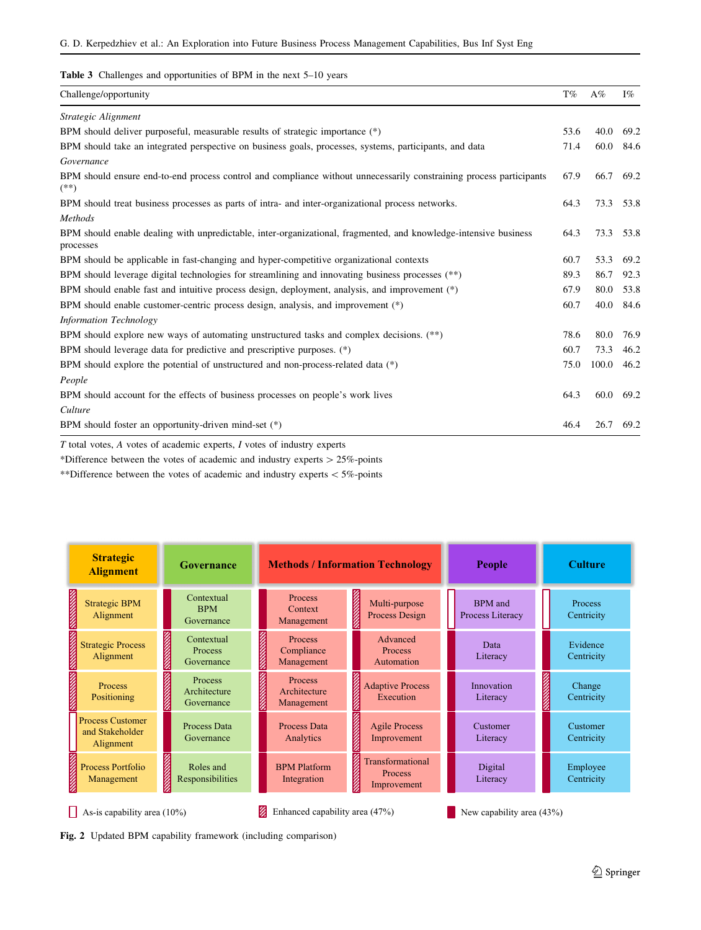<span id="page-6-0"></span>Table 3 Challenges and opportunities of BPM in the next 5-10 years

| Challenge/opportunity                                                                                                         | $\mathrm{T}\%$ | $A\%$ | $I\%$ |
|-------------------------------------------------------------------------------------------------------------------------------|----------------|-------|-------|
| Strategic Alignment                                                                                                           |                |       |       |
| BPM should deliver purposeful, measurable results of strategic importance (*)                                                 | 53.6           | 40.0  | 69.2  |
| BPM should take an integrated perspective on business goals, processes, systems, participants, and data                       | 71.4           | 60.0  | 84.6  |
| Governance                                                                                                                    |                |       |       |
| BPM should ensure end-to-end process control and compliance without unnecessarily constraining process participants<br>$(**)$ | 67.9           | 66.7  | 69.2  |
| BPM should treat business processes as parts of intra- and inter-organizational process networks.                             | 64.3           | 73.3  | 53.8  |
| Methods                                                                                                                       |                |       |       |
| BPM should enable dealing with unpredictable, inter-organizational, fragmented, and knowledge-intensive business<br>processes | 64.3           | 73.3  | 53.8  |
| BPM should be applicable in fast-changing and hyper-competitive organizational contexts                                       | 60.7           | 53.3  | 69.2  |
| BPM should leverage digital technologies for streamlining and innovating business processes $(**)$                            | 89.3           | 86.7  | 92.3  |
| BPM should enable fast and intuitive process design, deployment, analysis, and improvement (*)                                | 67.9           | 80.0  | 53.8  |
| BPM should enable customer-centric process design, analysis, and improvement (*)                                              | 60.7           | 40.0  | 84.6  |
| <b>Information Technology</b>                                                                                                 |                |       |       |
| BPM should explore new ways of automating unstructured tasks and complex decisions. (**)                                      | 78.6           | 80.0  | 76.9  |
| BPM should leverage data for predictive and prescriptive purposes. (*)                                                        | 60.7           | 73.3  | 46.2  |
| BPM should explore the potential of unstructured and non-process-related data (*)                                             | 75.0           | 100.0 | 46.2  |
| People                                                                                                                        |                |       |       |
| BPM should account for the effects of business processes on people's work lives                                               | 64.3           | 60.0  | 69.2  |
| Culture                                                                                                                       |                |       |       |
| BPM should foster an opportunity-driven mind-set (*)                                                                          | 46.4           | 26.7  | 69.2  |

T total votes, A votes of academic experts, I votes of industry experts

\*Difference between the votes of academic and industry experts  $> 25\%$ -points

\*\*Difference between the votes of academic and industry experts  $<$  5%-points

| <b>Strategic</b><br><b>Alignment</b>                                                        | Governance                                                   |                                                                      | <b>Methods / Information Technology</b>                                     | People                             | <b>Culture</b>                |
|---------------------------------------------------------------------------------------------|--------------------------------------------------------------|----------------------------------------------------------------------|-----------------------------------------------------------------------------|------------------------------------|-------------------------------|
| <b>Strategic BPM</b><br>Alignment                                                           | Contextual<br><b>BPM</b><br>Governance                       | <b>Process</b><br>Context<br>Management                              | <b>REAL PROPERTY</b><br>Multi-purpose<br>Process Design                     | <b>BPM</b> and<br>Process Literacy | Process<br>Centricity         |
| <b>BELLEVILLE DESCRIPTION OF PERSONAL PROPERTY</b><br><b>Strategic Process</b><br>Alignment | <b>BERKHARTEN</b><br>Contextual<br>Process<br>Governance     | <b>Process</b><br>Compliance<br>Management                           | Advanced<br>Process<br>Automation                                           | Data<br>Literacy                   | Evidence<br><b>Centricity</b> |
| <b>Process</b><br>Positioning                                                               | <b>CONSIGNATION</b><br>Process<br>Architecture<br>Governance | <b>BERKERS STATE</b><br><b>Process</b><br>Architecture<br>Management | <b>Adaptive Process</b><br>Execution                                        | Innovation<br>Literacy             | Change<br>Centricity          |
| <b>Process Customer</b><br>and Stakeholder<br>Alignment                                     | Process Data<br>Governance                                   | Process Data<br>Analytics                                            | <b>BELLEVILLE DESCRIPTION</b><br><b>Agile Process</b><br>Improvement        | Customer<br>Literacy               | Customer<br>Centricity        |
| <b>MANAGEMENT</b><br><b>Process Portfolio</b><br>Management                                 | <b>CONTRACTOR</b><br>Roles and<br>Responsibilities           | <b>BPM Platform</b><br>Integration                                   | <b>SERVERS SERVICE</b><br><b>Transformational</b><br>Process<br>Improvement | Digital<br>Literacy                | Employee<br><b>Centricity</b> |
| As-is capability area $(10\%)$                                                              |                                                              | Enhanced capability area (47%)                                       |                                                                             | New capability area (43%)          |                               |

Fig. 2 Updated BPM capability framework (including comparison)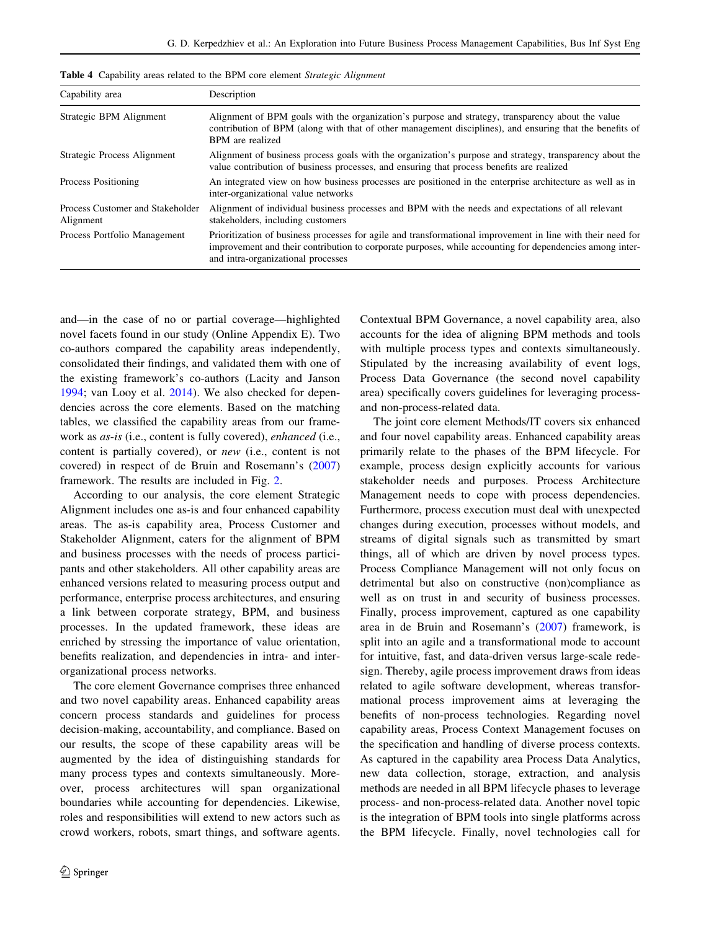<span id="page-7-0"></span>

|  |  | Table 4 Capability areas related to the BPM core element Strategic Alignment |  |  |  |  |  |  |
|--|--|------------------------------------------------------------------------------|--|--|--|--|--|--|
|--|--|------------------------------------------------------------------------------|--|--|--|--|--|--|

| Capability area                               | Description                                                                                                                                                                                                                                                   |
|-----------------------------------------------|---------------------------------------------------------------------------------------------------------------------------------------------------------------------------------------------------------------------------------------------------------------|
| Strategic BPM Alignment                       | Alignment of BPM goals with the organization's purpose and strategy, transparency about the value<br>contribution of BPM (along with that of other management disciplines), and ensuring that the benefits of<br>BPM are realized                             |
| Strategic Process Alignment                   | Alignment of business process goals with the organization's purpose and strategy, transparency about the<br>value contribution of business processes, and ensuring that process benefits are realized                                                         |
| Process Positioning                           | An integrated view on how business processes are positioned in the enterprise architecture as well as in<br>inter-organizational value networks                                                                                                               |
| Process Customer and Stakeholder<br>Alignment | Alignment of individual business processes and BPM with the needs and expectations of all relevant<br>stakeholders, including customers                                                                                                                       |
| Process Portfolio Management                  | Prioritization of business processes for agile and transformational improvement in line with their need for<br>improvement and their contribution to corporate purposes, while accounting for dependencies among inter-<br>and intra-organizational processes |

and—in the case of no or partial coverage—highlighted novel facets found in our study (Online Appendix E). Two co-authors compared the capability areas independently, consolidated their findings, and validated them with one of the existing framework's co-authors (Lacity and Janson [1994;](#page-12-0) van Looy et al. [2014\)](#page-13-0). We also checked for dependencies across the core elements. Based on the matching tables, we classified the capability areas from our framework as as-is (i.e., content is fully covered), enhanced (i.e., content is partially covered), or new (i.e., content is not covered) in respect of de Bruin and Rosemann's ([2007\)](#page-12-0) framework. The results are included in Fig. [2.](#page-6-0)

According to our analysis, the core element Strategic Alignment includes one as-is and four enhanced capability areas. The as-is capability area, Process Customer and Stakeholder Alignment, caters for the alignment of BPM and business processes with the needs of process participants and other stakeholders. All other capability areas are enhanced versions related to measuring process output and performance, enterprise process architectures, and ensuring a link between corporate strategy, BPM, and business processes. In the updated framework, these ideas are enriched by stressing the importance of value orientation, benefits realization, and dependencies in intra- and interorganizational process networks.

The core element Governance comprises three enhanced and two novel capability areas. Enhanced capability areas concern process standards and guidelines for process decision-making, accountability, and compliance. Based on our results, the scope of these capability areas will be augmented by the idea of distinguishing standards for many process types and contexts simultaneously. Moreover, process architectures will span organizational boundaries while accounting for dependencies. Likewise, roles and responsibilities will extend to new actors such as crowd workers, robots, smart things, and software agents.

Contextual BPM Governance, a novel capability area, also accounts for the idea of aligning BPM methods and tools with multiple process types and contexts simultaneously. Stipulated by the increasing availability of event logs, Process Data Governance (the second novel capability area) specifically covers guidelines for leveraging processand non-process-related data.

The joint core element Methods/IT covers six enhanced and four novel capability areas. Enhanced capability areas primarily relate to the phases of the BPM lifecycle. For example, process design explicitly accounts for various stakeholder needs and purposes. Process Architecture Management needs to cope with process dependencies. Furthermore, process execution must deal with unexpected changes during execution, processes without models, and streams of digital signals such as transmitted by smart things, all of which are driven by novel process types. Process Compliance Management will not only focus on detrimental but also on constructive (non)compliance as well as on trust in and security of business processes. Finally, process improvement, captured as one capability area in de Bruin and Rosemann's [\(2007](#page-12-0)) framework, is split into an agile and a transformational mode to account for intuitive, fast, and data-driven versus large-scale redesign. Thereby, agile process improvement draws from ideas related to agile software development, whereas transformational process improvement aims at leveraging the benefits of non-process technologies. Regarding novel capability areas, Process Context Management focuses on the specification and handling of diverse process contexts. As captured in the capability area Process Data Analytics, new data collection, storage, extraction, and analysis methods are needed in all BPM lifecycle phases to leverage process- and non-process-related data. Another novel topic is the integration of BPM tools into single platforms across the BPM lifecycle. Finally, novel technologies call for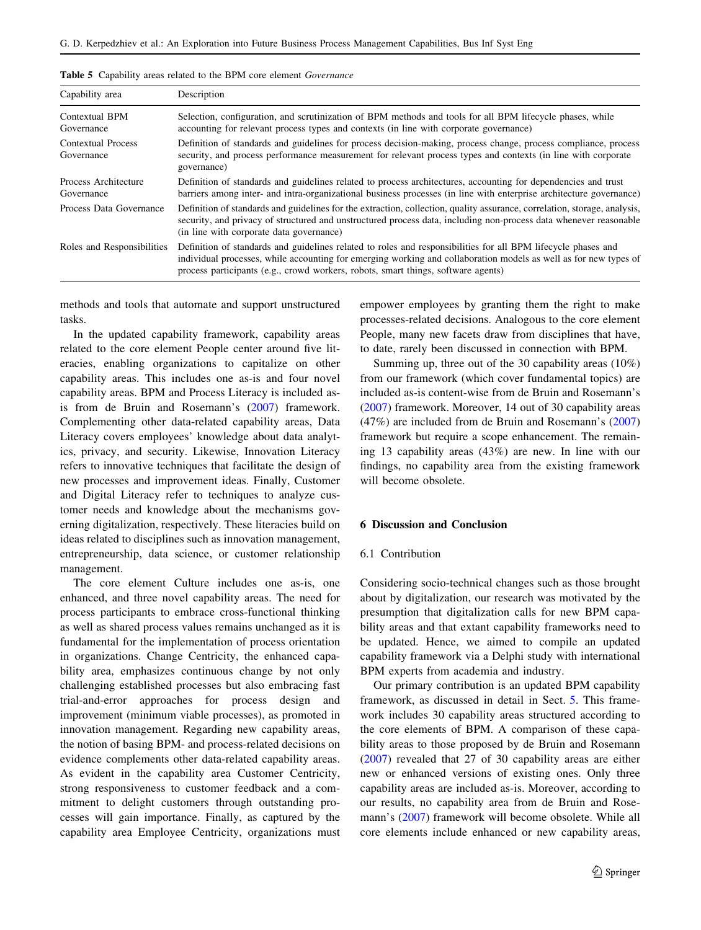| Capability area                    | Description                                                                                                                                                                                                                                                                                                            |
|------------------------------------|------------------------------------------------------------------------------------------------------------------------------------------------------------------------------------------------------------------------------------------------------------------------------------------------------------------------|
| Contextual BPM<br>Governance       | Selection, configuration, and scrutinization of BPM methods and tools for all BPM lifecycle phases, while<br>accounting for relevant process types and contexts (in line with corporate governance)                                                                                                                    |
| Contextual Process<br>Governance   | Definition of standards and guidelines for process decision-making, process change, process compliance, process<br>security, and process performance measurement for relevant process types and contexts (in line with corporate<br>governance)                                                                        |
| Process Architecture<br>Governance | Definition of standards and guidelines related to process architectures, accounting for dependencies and trust<br>barriers among inter- and intra-organizational business processes (in line with enterprise architecture governance)                                                                                  |
| Process Data Governance            | Definition of standards and guidelines for the extraction, collection, quality assurance, correlation, storage, analysis,<br>security, and privacy of structured and unstructured process data, including non-process data whenever reasonable<br>(in line with corporate data governance)                             |
| Roles and Responsibilities         | Definition of standards and guidelines related to roles and responsibilities for all BPM lifecycle phases and<br>individual processes, while accounting for emerging working and collaboration models as well as for new types of<br>process participants (e.g., crowd workers, robots, smart things, software agents) |

<span id="page-8-0"></span>Table 5 Capability areas related to the BPM core element Governance

methods and tools that automate and support unstructured tasks.

In the updated capability framework, capability areas related to the core element People center around five literacies, enabling organizations to capitalize on other capability areas. This includes one as-is and four novel capability areas. BPM and Process Literacy is included asis from de Bruin and Rosemann's [\(2007](#page-12-0)) framework. Complementing other data-related capability areas, Data Literacy covers employees' knowledge about data analytics, privacy, and security. Likewise, Innovation Literacy refers to innovative techniques that facilitate the design of new processes and improvement ideas. Finally, Customer and Digital Literacy refer to techniques to analyze customer needs and knowledge about the mechanisms governing digitalization, respectively. These literacies build on ideas related to disciplines such as innovation management, entrepreneurship, data science, or customer relationship management.

The core element Culture includes one as-is, one enhanced, and three novel capability areas. The need for process participants to embrace cross-functional thinking as well as shared process values remains unchanged as it is fundamental for the implementation of process orientation in organizations. Change Centricity, the enhanced capability area, emphasizes continuous change by not only challenging established processes but also embracing fast trial-and-error approaches for process design and improvement (minimum viable processes), as promoted in innovation management. Regarding new capability areas, the notion of basing BPM- and process-related decisions on evidence complements other data-related capability areas. As evident in the capability area Customer Centricity, strong responsiveness to customer feedback and a commitment to delight customers through outstanding processes will gain importance. Finally, as captured by the capability area Employee Centricity, organizations must empower employees by granting them the right to make processes-related decisions. Analogous to the core element People, many new facets draw from disciplines that have, to date, rarely been discussed in connection with BPM.

Summing up, three out of the 30 capability areas (10%) from our framework (which cover fundamental topics) are included as-is content-wise from de Bruin and Rosemann's [\(2007](#page-12-0)) framework. Moreover, 14 out of 30 capability areas (47%) are included from de Bruin and Rosemann's ([2007\)](#page-12-0) framework but require a scope enhancement. The remaining 13 capability areas (43%) are new. In line with our findings, no capability area from the existing framework will become obsolete.

## 6 Discussion and Conclusion

## 6.1 Contribution

Considering socio-technical changes such as those brought about by digitalization, our research was motivated by the presumption that digitalization calls for new BPM capability areas and that extant capability frameworks need to be updated. Hence, we aimed to compile an updated capability framework via a Delphi study with international BPM experts from academia and industry.

Our primary contribution is an updated BPM capability framework, as discussed in detail in Sect. [5](#page-5-0). This framework includes 30 capability areas structured according to the core elements of BPM. A comparison of these capability areas to those proposed by de Bruin and Rosemann [\(2007](#page-12-0)) revealed that 27 of 30 capability areas are either new or enhanced versions of existing ones. Only three capability areas are included as-is. Moreover, according to our results, no capability area from de Bruin and Rosemann's ([2007\)](#page-12-0) framework will become obsolete. While all core elements include enhanced or new capability areas,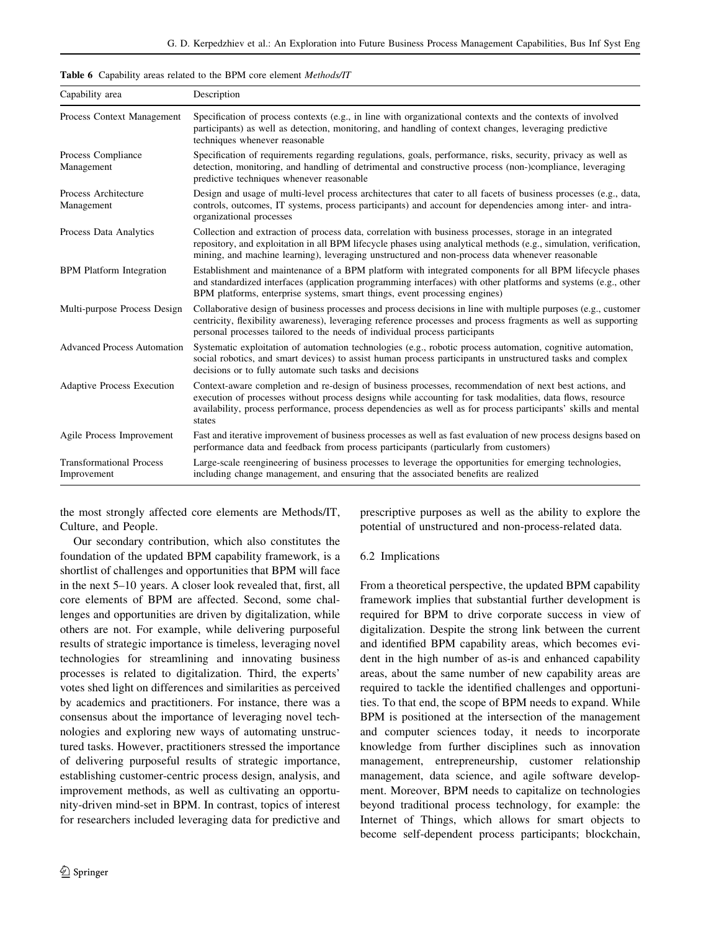<span id="page-9-0"></span>

| Capability area                                | Description                                                                                                                                                                                                                                                                                                                                     |  |  |  |  |  |  |
|------------------------------------------------|-------------------------------------------------------------------------------------------------------------------------------------------------------------------------------------------------------------------------------------------------------------------------------------------------------------------------------------------------|--|--|--|--|--|--|
| Process Context Management                     | Specification of process contexts (e.g., in line with organizational contexts and the contexts of involved<br>participants) as well as detection, monitoring, and handling of context changes, leveraging predictive<br>techniques whenever reasonable                                                                                          |  |  |  |  |  |  |
| Process Compliance<br>Management               | Specification of requirements regarding regulations, goals, performance, risks, security, privacy as well as<br>detection, monitoring, and handling of detrimental and constructive process (non-)compliance, leveraging<br>predictive techniques whenever reasonable                                                                           |  |  |  |  |  |  |
| Process Architecture<br>Management             | Design and usage of multi-level process architectures that cater to all facets of business processes (e.g., data,<br>controls, outcomes, IT systems, process participants) and account for dependencies among inter- and intra-<br>organizational processes                                                                                     |  |  |  |  |  |  |
| Process Data Analytics                         | Collection and extraction of process data, correlation with business processes, storage in an integrated<br>repository, and exploitation in all BPM lifecycle phases using analytical methods (e.g., simulation, verification,<br>mining, and machine learning), leveraging unstructured and non-process data whenever reasonable               |  |  |  |  |  |  |
| <b>BPM</b> Platform Integration                | Establishment and maintenance of a BPM platform with integrated components for all BPM lifecycle phases<br>and standardized interfaces (application programming interfaces) with other platforms and systems (e.g., other<br>BPM platforms, enterprise systems, smart things, event processing engines)                                         |  |  |  |  |  |  |
| Multi-purpose Process Design                   | Collaborative design of business processes and process decisions in line with multiple purposes (e.g., customer<br>centricity, flexibility awareness), leveraging reference processes and process fragments as well as supporting<br>personal processes tailored to the needs of individual process participants                                |  |  |  |  |  |  |
| <b>Advanced Process Automation</b>             | Systematic exploitation of automation technologies (e.g., robotic process automation, cognitive automation,<br>social robotics, and smart devices) to assist human process participants in unstructured tasks and complex<br>decisions or to fully automate such tasks and decisions                                                            |  |  |  |  |  |  |
| <b>Adaptive Process Execution</b>              | Context-aware completion and re-design of business processes, recommendation of next best actions, and<br>execution of processes without process designs while accounting for task modalities, data flows, resource<br>availability, process performance, process dependencies as well as for process participants' skills and mental<br>states |  |  |  |  |  |  |
| Agile Process Improvement                      | Fast and iterative improvement of business processes as well as fast evaluation of new process designs based on<br>performance data and feedback from process participants (particularly from customers)                                                                                                                                        |  |  |  |  |  |  |
| <b>Transformational Process</b><br>Improvement | Large-scale reengineering of business processes to leverage the opportunities for emerging technologies,<br>including change management, and ensuring that the associated benefits are realized                                                                                                                                                 |  |  |  |  |  |  |

the most strongly affected core elements are Methods/IT, Culture, and People.

Our secondary contribution, which also constitutes the foundation of the updated BPM capability framework, is a shortlist of challenges and opportunities that BPM will face in the next 5–10 years. A closer look revealed that, first, all core elements of BPM are affected. Second, some challenges and opportunities are driven by digitalization, while others are not. For example, while delivering purposeful results of strategic importance is timeless, leveraging novel technologies for streamlining and innovating business processes is related to digitalization. Third, the experts' votes shed light on differences and similarities as perceived by academics and practitioners. For instance, there was a consensus about the importance of leveraging novel technologies and exploring new ways of automating unstructured tasks. However, practitioners stressed the importance of delivering purposeful results of strategic importance, establishing customer-centric process design, analysis, and improvement methods, as well as cultivating an opportunity-driven mind-set in BPM. In contrast, topics of interest for researchers included leveraging data for predictive and prescriptive purposes as well as the ability to explore the potential of unstructured and non-process-related data.

## 6.2 Implications

From a theoretical perspective, the updated BPM capability framework implies that substantial further development is required for BPM to drive corporate success in view of digitalization. Despite the strong link between the current and identified BPM capability areas, which becomes evident in the high number of as-is and enhanced capability areas, about the same number of new capability areas are required to tackle the identified challenges and opportunities. To that end, the scope of BPM needs to expand. While BPM is positioned at the intersection of the management and computer sciences today, it needs to incorporate knowledge from further disciplines such as innovation management, entrepreneurship, customer relationship management, data science, and agile software development. Moreover, BPM needs to capitalize on technologies beyond traditional process technology, for example: the Internet of Things, which allows for smart objects to become self-dependent process participants; blockchain,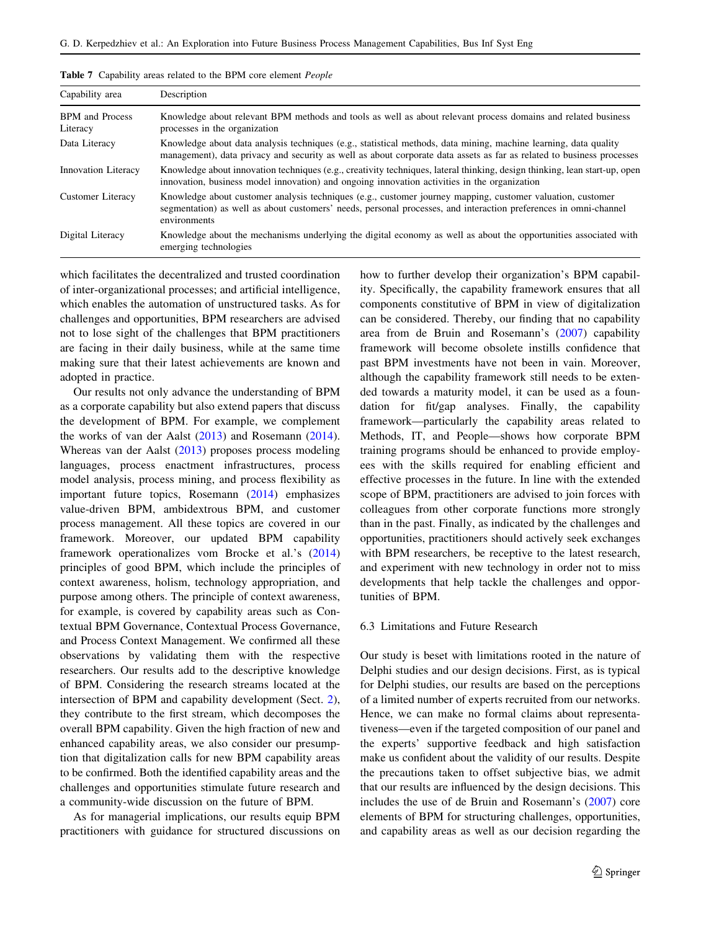| Capability area                    | Description                                                                                                                                                                                                                                    |
|------------------------------------|------------------------------------------------------------------------------------------------------------------------------------------------------------------------------------------------------------------------------------------------|
| <b>BPM</b> and Process<br>Literacy | Knowledge about relevant BPM methods and tools as well as about relevant process domains and related business<br>processes in the organization                                                                                                 |
| Data Literacy                      | Knowledge about data analysis techniques (e.g., statistical methods, data mining, machine learning, data quality<br>management), data privacy and security as well as about corporate data assets as far as related to business processes      |
| Innovation Literacy                | Knowledge about innovation techniques (e.g., creativity techniques, lateral thinking, design thinking, lean start-up, open<br>innovation, business model innovation) and ongoing innovation activities in the organization                     |
| Customer Literacy                  | Knowledge about customer analysis techniques (e.g., customer journey mapping, customer valuation, customer<br>segmentation) as well as about customers' needs, personal processes, and interaction preferences in omni-channel<br>environments |
| Digital Literacy                   | Knowledge about the mechanisms underlying the digital economy as well as about the opportunities associated with<br>emerging technologies                                                                                                      |

<span id="page-10-0"></span>

|  | Table 7 Capability areas related to the BPM core element People |  |  |  |  |  |  |  |  |  |  |
|--|-----------------------------------------------------------------|--|--|--|--|--|--|--|--|--|--|
|--|-----------------------------------------------------------------|--|--|--|--|--|--|--|--|--|--|

which facilitates the decentralized and trusted coordination of inter-organizational processes; and artificial intelligence, which enables the automation of unstructured tasks. As for challenges and opportunities, BPM researchers are advised not to lose sight of the challenges that BPM practitioners are facing in their daily business, while at the same time making sure that their latest achievements are known and adopted in practice.

Our results not only advance the understanding of BPM as a corporate capability but also extend papers that discuss the development of BPM. For example, we complement the works of van der Aalst  $(2013)$  $(2013)$  and Rosemann  $(2014)$  $(2014)$ . Whereas van der Aalst ([2013\)](#page-13-0) proposes process modeling languages, process enactment infrastructures, process model analysis, process mining, and process flexibility as important future topics, Rosemann ([2014\)](#page-12-0) emphasizes value-driven BPM, ambidextrous BPM, and customer process management. All these topics are covered in our framework. Moreover, our updated BPM capability framework operationalizes vom Brocke et al.'s ([2014\)](#page-13-0) principles of good BPM, which include the principles of context awareness, holism, technology appropriation, and purpose among others. The principle of context awareness, for example, is covered by capability areas such as Contextual BPM Governance, Contextual Process Governance, and Process Context Management. We confirmed all these observations by validating them with the respective researchers. Our results add to the descriptive knowledge of BPM. Considering the research streams located at the intersection of BPM and capability development (Sect. [2](#page-1-0)), they contribute to the first stream, which decomposes the overall BPM capability. Given the high fraction of new and enhanced capability areas, we also consider our presumption that digitalization calls for new BPM capability areas to be confirmed. Both the identified capability areas and the challenges and opportunities stimulate future research and a community-wide discussion on the future of BPM.

As for managerial implications, our results equip BPM practitioners with guidance for structured discussions on how to further develop their organization's BPM capability. Specifically, the capability framework ensures that all components constitutive of BPM in view of digitalization can be considered. Thereby, our finding that no capability area from de Bruin and Rosemann's ([2007\)](#page-12-0) capability framework will become obsolete instills confidence that past BPM investments have not been in vain. Moreover, although the capability framework still needs to be extended towards a maturity model, it can be used as a foundation for fit/gap analyses. Finally, the capability framework—particularly the capability areas related to Methods, IT, and People—shows how corporate BPM training programs should be enhanced to provide employees with the skills required for enabling efficient and effective processes in the future. In line with the extended scope of BPM, practitioners are advised to join forces with colleagues from other corporate functions more strongly than in the past. Finally, as indicated by the challenges and opportunities, practitioners should actively seek exchanges with BPM researchers, be receptive to the latest research, and experiment with new technology in order not to miss developments that help tackle the challenges and opportunities of BPM.

## 6.3 Limitations and Future Research

Our study is beset with limitations rooted in the nature of Delphi studies and our design decisions. First, as is typical for Delphi studies, our results are based on the perceptions of a limited number of experts recruited from our networks. Hence, we can make no formal claims about representativeness—even if the targeted composition of our panel and the experts' supportive feedback and high satisfaction make us confident about the validity of our results. Despite the precautions taken to offset subjective bias, we admit that our results are influenced by the design decisions. This includes the use of de Bruin and Rosemann's [\(2007](#page-12-0)) core elements of BPM for structuring challenges, opportunities, and capability areas as well as our decision regarding the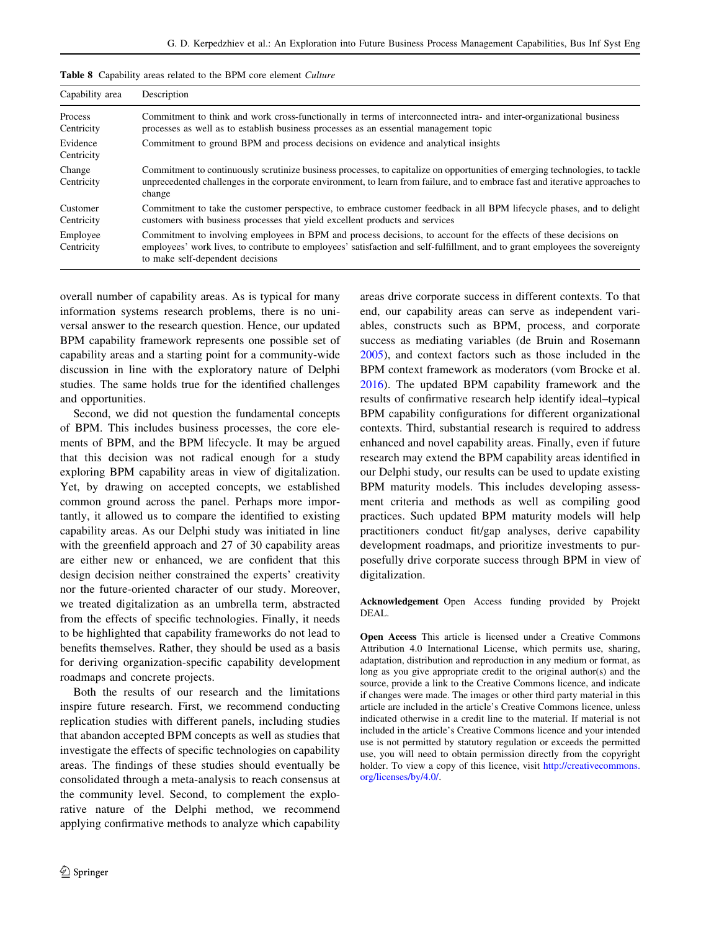| Capability area        | Description                                                                                                                                                                                                                                                                          |  |  |  |  |  |
|------------------------|--------------------------------------------------------------------------------------------------------------------------------------------------------------------------------------------------------------------------------------------------------------------------------------|--|--|--|--|--|
| Process<br>Centricity  | Commitment to think and work cross-functionally in terms of interconnected intra- and inter-organizational business<br>processes as well as to establish business processes as an essential management topic                                                                         |  |  |  |  |  |
| Evidence<br>Centricity | Commitment to ground BPM and process decisions on evidence and analytical insights                                                                                                                                                                                                   |  |  |  |  |  |
| Change<br>Centricity   | Commitment to continuously scrutinize business processes, to capitalize on opportunities of emerging technologies, to tackle<br>unprecedented challenges in the corporate environment, to learn from failure, and to embrace fast and iterative approaches to<br>change              |  |  |  |  |  |
| Customer<br>Centricity | Commitment to take the customer perspective, to embrace customer feedback in all BPM lifecycle phases, and to delight<br>customers with business processes that yield excellent products and services                                                                                |  |  |  |  |  |
| Employee<br>Centricity | Commitment to involving employees in BPM and process decisions, to account for the effects of these decisions on<br>employees' work lives, to contribute to employees' satisfaction and self-fulfillment, and to grant employees the sovereignty<br>to make self-dependent decisions |  |  |  |  |  |

<span id="page-11-0"></span>

|  |  | Table 8 Capability areas related to the BPM core element Culture |  |  |  |  |  |  |
|--|--|------------------------------------------------------------------|--|--|--|--|--|--|
|--|--|------------------------------------------------------------------|--|--|--|--|--|--|

overall number of capability areas. As is typical for many information systems research problems, there is no universal answer to the research question. Hence, our updated BPM capability framework represents one possible set of capability areas and a starting point for a community-wide discussion in line with the exploratory nature of Delphi studies. The same holds true for the identified challenges and opportunities.

Second, we did not question the fundamental concepts of BPM. This includes business processes, the core elements of BPM, and the BPM lifecycle. It may be argued that this decision was not radical enough for a study exploring BPM capability areas in view of digitalization. Yet, by drawing on accepted concepts, we established common ground across the panel. Perhaps more importantly, it allowed us to compare the identified to existing capability areas. As our Delphi study was initiated in line with the greenfield approach and 27 of 30 capability areas are either new or enhanced, we are confident that this design decision neither constrained the experts' creativity nor the future-oriented character of our study. Moreover, we treated digitalization as an umbrella term, abstracted from the effects of specific technologies. Finally, it needs to be highlighted that capability frameworks do not lead to benefits themselves. Rather, they should be used as a basis for deriving organization-specific capability development roadmaps and concrete projects.

Both the results of our research and the limitations inspire future research. First, we recommend conducting replication studies with different panels, including studies that abandon accepted BPM concepts as well as studies that investigate the effects of specific technologies on capability areas. The findings of these studies should eventually be consolidated through a meta-analysis to reach consensus at the community level. Second, to complement the explorative nature of the Delphi method, we recommend applying confirmative methods to analyze which capability

areas drive corporate success in different contexts. To that end, our capability areas can serve as independent variables, constructs such as BPM, process, and corporate success as mediating variables (de Bruin and Rosemann [2005](#page-12-0)), and context factors such as those included in the BPM context framework as moderators (vom Brocke et al. [2016](#page-13-0)). The updated BPM capability framework and the results of confirmative research help identify ideal–typical BPM capability configurations for different organizational contexts. Third, substantial research is required to address enhanced and novel capability areas. Finally, even if future research may extend the BPM capability areas identified in our Delphi study, our results can be used to update existing BPM maturity models. This includes developing assessment criteria and methods as well as compiling good practices. Such updated BPM maturity models will help practitioners conduct fit/gap analyses, derive capability development roadmaps, and prioritize investments to purposefully drive corporate success through BPM in view of digitalization.

Acknowledgement Open Access funding provided by Projekt DEAL.

Open Access This article is licensed under a Creative Commons Attribution 4.0 International License, which permits use, sharing, adaptation, distribution and reproduction in any medium or format, as long as you give appropriate credit to the original author(s) and the source, provide a link to the Creative Commons licence, and indicate if changes were made. The images or other third party material in this article are included in the article's Creative Commons licence, unless indicated otherwise in a credit line to the material. If material is not included in the article's Creative Commons licence and your intended use is not permitted by statutory regulation or exceeds the permitted use, you will need to obtain permission directly from the copyright holder. To view a copy of this licence, visit [http://creativecommons.](http://creativecommons.org/licenses/by/4.0/) [org/licenses/by/4.0/.](http://creativecommons.org/licenses/by/4.0/)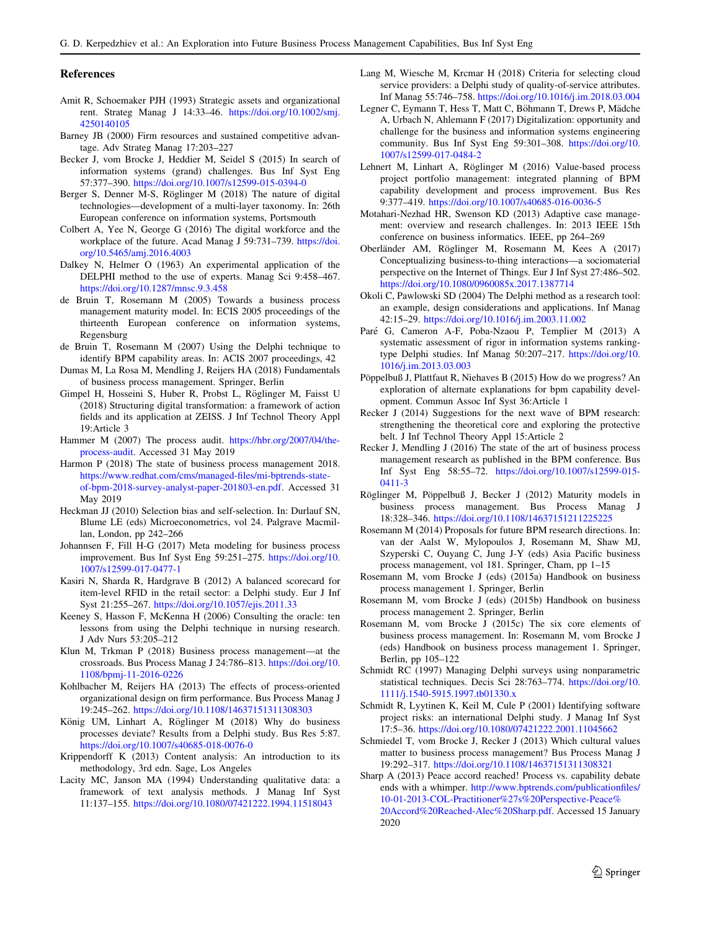#### <span id="page-12-0"></span>References

- Amit R, Schoemaker PJH (1993) Strategic assets and organizational rent. Strateg Manag J 14:33–46. [https://doi.org/10.1002/smj.](https://doi.org/10.1002/smj.4250140105) [4250140105](https://doi.org/10.1002/smj.4250140105)
- Barney JB (2000) Firm resources and sustained competitive advantage. Adv Strateg Manag 17:203–227
- Becker J, vom Brocke J, Heddier M, Seidel S (2015) In search of information systems (grand) challenges. Bus Inf Syst Eng 57:377–390. <https://doi.org/10.1007/s12599-015-0394-0>
- Berger S, Denner M-S, Röglinger M (2018) The nature of digital technologies—development of a multi-layer taxonomy. In: 26th European conference on information systems, Portsmouth
- Colbert A, Yee N, George G (2016) The digital workforce and the workplace of the future. Acad Manag J 59:731–739. [https://doi.](https://doi.org/10.5465/amj.2016.4003) [org/10.5465/amj.2016.4003](https://doi.org/10.5465/amj.2016.4003)
- Dalkey N, Helmer O (1963) An experimental application of the DELPHI method to the use of experts. Manag Sci 9:458–467. <https://doi.org/10.1287/mnsc.9.3.458>
- de Bruin T, Rosemann M (2005) Towards a business process management maturity model. In: ECIS 2005 proceedings of the thirteenth European conference on information systems, Regensburg
- de Bruin T, Rosemann M (2007) Using the Delphi technique to identify BPM capability areas. In: ACIS 2007 proceedings, 42
- Dumas M, La Rosa M, Mendling J, Reijers HA (2018) Fundamentals of business process management. Springer, Berlin
- Gimpel H, Hosseini S, Huber R, Probst L, Röglinger M, Faisst U (2018) Structuring digital transformation: a framework of action fields and its application at ZEISS. J Inf Technol Theory Appl 19:Article 3
- Hammer M (2007) The process audit. [https://hbr.org/2007/04/the](https://hbr.org/2007/04/the-process-audit)[process-audit](https://hbr.org/2007/04/the-process-audit). Accessed 31 May 2019
- Harmon P (2018) The state of business process management 2018. [https://www.redhat.com/cms/managed-files/mi-bptrends-state](https://www.redhat.com/cms/managed-files/mi-bptrends-state-of-bpm-2018-survey-analyst-paper-201803-en.pdf)[of-bpm-2018-survey-analyst-paper-201803-en.pdf](https://www.redhat.com/cms/managed-files/mi-bptrends-state-of-bpm-2018-survey-analyst-paper-201803-en.pdf). Accessed 31 May 2019
- Heckman JJ (2010) Selection bias and self-selection. In: Durlauf SN, Blume LE (eds) Microeconometrics, vol 24. Palgrave Macmillan, London, pp 242–266
- Johannsen F, Fill H-G (2017) Meta modeling for business process improvement. Bus Inf Syst Eng 59:251–275. [https://doi.org/10.](https://doi.org/10.1007/s12599-017-0477-1) [1007/s12599-017-0477-1](https://doi.org/10.1007/s12599-017-0477-1)
- Kasiri N, Sharda R, Hardgrave B (2012) A balanced scorecard for item-level RFID in the retail sector: a Delphi study. Eur J Inf Syst 21:255–267. <https://doi.org/10.1057/ejis.2011.33>
- Keeney S, Hasson F, McKenna H (2006) Consulting the oracle: ten lessons from using the Delphi technique in nursing research. J Adv Nurs 53:205–212
- Klun M, Trkman P (2018) Business process management—at the crossroads. Bus Process Manag J 24:786–813. [https://doi.org/10.](https://doi.org/10.1108/bpmj-11-2016-0226) [1108/bpmj-11-2016-0226](https://doi.org/10.1108/bpmj-11-2016-0226)
- Kohlbacher M, Reijers HA (2013) The effects of process-oriented organizational design on firm performance. Bus Process Manag J 19:245–262. <https://doi.org/10.1108/14637151311308303>
- König UM, Linhart A, Röglinger M (2018) Why do business processes deviate? Results from a Delphi study. Bus Res 5:87. <https://doi.org/10.1007/s40685-018-0076-0>
- Krippendorff K (2013) Content analysis: An introduction to its methodology, 3rd edn. Sage, Los Angeles
- Lacity MC, Janson MA (1994) Understanding qualitative data: a framework of text analysis methods. J Manag Inf Syst 11:137–155. <https://doi.org/10.1080/07421222.1994.11518043>
- Lang M, Wiesche M, Krcmar H (2018) Criteria for selecting cloud service providers: a Delphi study of quality-of-service attributes. Inf Manag 55:746–758. <https://doi.org/10.1016/j.im.2018.03.004>
- Legner C, Eymann T, Hess T, Matt C, Böhmann T, Drews P, Mädche A, Urbach N, Ahlemann F (2017) Digitalization: opportunity and challenge for the business and information systems engineering community. Bus Inf Syst Eng 59:301–308. [https://doi.org/10.](https://doi.org/10.1007/s12599-017-0484-2) [1007/s12599-017-0484-2](https://doi.org/10.1007/s12599-017-0484-2)
- Lehnert M, Linhart A, Röglinger M (2016) Value-based process project portfolio management: integrated planning of BPM capability development and process improvement. Bus Res 9:377–419. <https://doi.org/10.1007/s40685-016-0036-5>
- Motahari-Nezhad HR, Swenson KD (2013) Adaptive case management: overview and research challenges. In: 2013 IEEE 15th conference on business informatics. IEEE, pp 264–269
- Oberländer AM, Röglinger M, Rosemann M, Kees A (2017) Conceptualizing business-to-thing interactions—a sociomaterial perspective on the Internet of Things. Eur J Inf Syst 27:486–502. <https://doi.org/10.1080/0960085x.2017.1387714>
- Okoli C, Pawlowski SD (2004) The Delphi method as a research tool: an example, design considerations and applications. Inf Manag 42:15–29. <https://doi.org/10.1016/j.im.2003.11.002>
- Paré G, Cameron A-F, Poba-Nzaou P, Templier M (2013) A systematic assessment of rigor in information systems rankingtype Delphi studies. Inf Manag 50:207–217. [https://doi.org/10.](https://doi.org/10.1016/j.im.2013.03.003) [1016/j.im.2013.03.003](https://doi.org/10.1016/j.im.2013.03.003)
- Pöppelbuß J, Plattfaut R, Niehaves B (2015) How do we progress? An exploration of alternate explanations for bpm capability development. Commun Assoc Inf Syst 36:Article 1
- Recker J (2014) Suggestions for the next wave of BPM research: strengthening the theoretical core and exploring the protective belt. J Inf Technol Theory Appl 15:Article 2
- Recker J, Mendling J (2016) The state of the art of business process management research as published in the BPM conference. Bus Inf Syst Eng 58:55–72. [https://doi.org/10.1007/s12599-015-](https://doi.org/10.1007/s12599-015-0411-3) [0411-3](https://doi.org/10.1007/s12599-015-0411-3)
- Röglinger M, Pöppelbuß J, Becker J (2012) Maturity models in business process management. Bus Process Manag J 18:328–346. <https://doi.org/10.1108/14637151211225225>
- Rosemann M (2014) Proposals for future BPM research directions. In: van der Aalst W, Mylopoulos J, Rosemann M, Shaw MJ, Szyperski C, Ouyang C, Jung J-Y (eds) Asia Pacific business process management, vol 181. Springer, Cham, pp 1–15
- Rosemann M, vom Brocke J (eds) (2015a) Handbook on business process management 1. Springer, Berlin
- Rosemann M, vom Brocke J (eds) (2015b) Handbook on business process management 2. Springer, Berlin
- Rosemann M, vom Brocke J (2015c) The six core elements of business process management. In: Rosemann M, vom Brocke J (eds) Handbook on business process management 1. Springer, Berlin, pp 105–122
- Schmidt RC (1997) Managing Delphi surveys using nonparametric statistical techniques. Decis Sci 28:763–774. [https://doi.org/10.](https://doi.org/10.1111/j.1540-5915.1997.tb01330.x) [1111/j.1540-5915.1997.tb01330.x](https://doi.org/10.1111/j.1540-5915.1997.tb01330.x)
- Schmidt R, Lyytinen K, Keil M, Cule P (2001) Identifying software project risks: an international Delphi study. J Manag Inf Syst 17:5–36. <https://doi.org/10.1080/07421222.2001.11045662>
- Schmiedel T, vom Brocke J, Recker J (2013) Which cultural values matter to business process management? Bus Process Manag J 19:292–317. <https://doi.org/10.1108/14637151311308321>
- Sharp A (2013) Peace accord reached! Process vs. capability debate ends with a whimper. [http://www.bptrends.com/publicationfiles/](http://www.bptrends.com/publicationfiles/10-01-2013-COL-Practitioner%2527s%20Perspective-Peace%20Accord%20Reached-Alec%20Sharp.pdf) [10-01-2013-COL-Practitioner%27s%20Perspective-Peace%](http://www.bptrends.com/publicationfiles/10-01-2013-COL-Practitioner%2527s%20Perspective-Peace%20Accord%20Reached-Alec%20Sharp.pdf) [20Accord%20Reached-Alec%20Sharp.pdf.](http://www.bptrends.com/publicationfiles/10-01-2013-COL-Practitioner%2527s%20Perspective-Peace%20Accord%20Reached-Alec%20Sharp.pdf) Accessed 15 January 2020